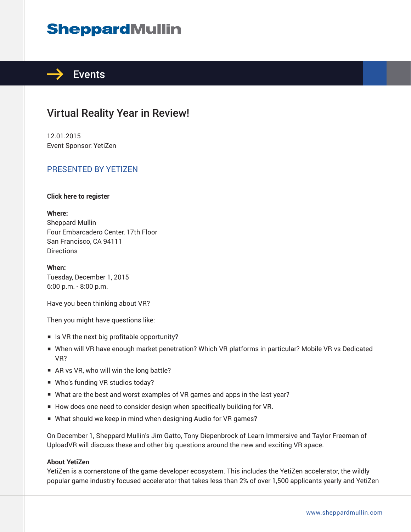# **SheppardMullin**



## Virtual Reality Year in Review!

12.01.2015 Event Sponsor: YetiZen

### PRESENTED BY YETIZEN

#### **Click here to register**

**Where:** Sheppard Mullin Four Embarcadero Center, 17th Floor San Francisco, CA 94111 **Directions** 

**When:** Tuesday, December 1, 2015 6:00 p.m. - 8:00 p.m.

Have you been thinking about VR?

Then you might have questions like:

- Is VR the next big profitable opportunity?
- When will VR have enough market penetration? Which VR platforms in particular? Mobile VR vs Dedicated VR?
- AR vs VR, who will win the long battle?
- Who's funding VR studios today?
- What are the best and worst examples of VR games and apps in the last year?
- How does one need to consider design when specifically building for VR.
- What should we keep in mind when designing Audio for VR games?

On December 1, Sheppard Mullin's Jim Gatto, Tony Diepenbrock of Learn Immersive and Taylor Freeman of UploadVR will discuss these and other big questions around the new and exciting VR space.

#### **About YetiZen**

YetiZen is a cornerstone of the game developer ecosystem. This includes the YetiZen accelerator, the wildly popular game industry focused accelerator that takes less than 2% of over 1,500 applicants yearly and YetiZen